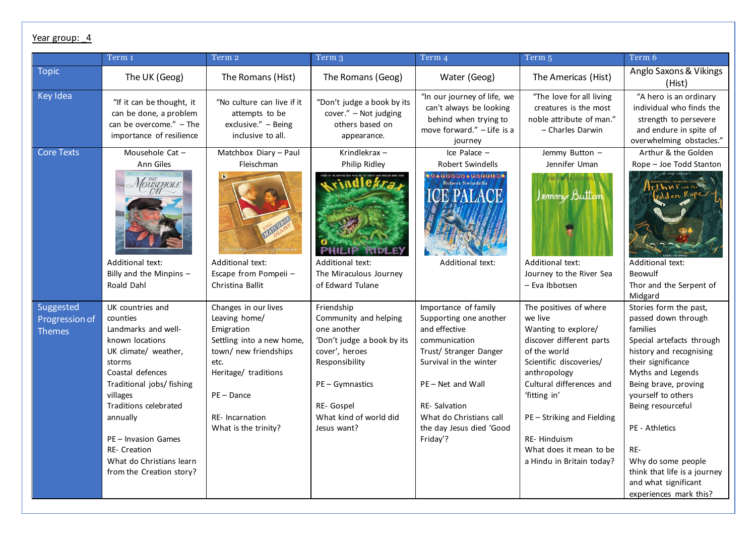## Year group: 4

|                                              | Term 1                                                                                                                                                                                                                                                                                                           | Term 2                                                                                                                                                                                                      | Term 3                                                                                                                                                                                         | Term 4                                                                                                                                                                                                                                                                                                                                                                                                                                                                                                                                                                                                         | Term 5                                                                                                                                                                                                                                                                                          | Term 6                                                                                                                                                                                                                                                                                                                                                                  |
|----------------------------------------------|------------------------------------------------------------------------------------------------------------------------------------------------------------------------------------------------------------------------------------------------------------------------------------------------------------------|-------------------------------------------------------------------------------------------------------------------------------------------------------------------------------------------------------------|------------------------------------------------------------------------------------------------------------------------------------------------------------------------------------------------|----------------------------------------------------------------------------------------------------------------------------------------------------------------------------------------------------------------------------------------------------------------------------------------------------------------------------------------------------------------------------------------------------------------------------------------------------------------------------------------------------------------------------------------------------------------------------------------------------------------|-------------------------------------------------------------------------------------------------------------------------------------------------------------------------------------------------------------------------------------------------------------------------------------------------|-------------------------------------------------------------------------------------------------------------------------------------------------------------------------------------------------------------------------------------------------------------------------------------------------------------------------------------------------------------------------|
| <b>Topic</b>                                 | The UK (Geog)                                                                                                                                                                                                                                                                                                    | The Romans (Hist)                                                                                                                                                                                           | The Romans (Geog)                                                                                                                                                                              | Water (Geog)                                                                                                                                                                                                                                                                                                                                                                                                                                                                                                                                                                                                   | The Americas (Hist)                                                                                                                                                                                                                                                                             | Anglo Saxons & Vikings<br>(Hist)                                                                                                                                                                                                                                                                                                                                        |
| <b>Key Idea</b>                              | "If it can be thought, it<br>can be done, a problem<br>can be overcome. $''$ - The<br>importance of resilience                                                                                                                                                                                                   | "No culture can live if it<br>attempts to be<br>exclusive." - Being<br>inclusive to all.                                                                                                                    | "Don't judge a book by its<br>cover." - Not judging<br>others based on<br>appearance.                                                                                                          | "In our journey of life, we<br>can't always be looking<br>behind when trying to<br>move forward." - Life is a<br>journey                                                                                                                                                                                                                                                                                                                                                                                                                                                                                       | "The love for all living<br>creatures is the most<br>noble attribute of man."<br>- Charles Darwin                                                                                                                                                                                               | "A hero is an ordinary<br>individual who finds the<br>strength to persevere<br>and endure in spite of<br>overwhelming obstacles."                                                                                                                                                                                                                                       |
| <b>Core Texts</b>                            | Mousehole Cat-<br>Ann Giles<br><b>MOUSEHOLE</b><br>Additional text:<br>Billy and the Minpins -<br>Roald Dahl                                                                                                                                                                                                     | Matchbox Diary - Paul<br>Fleischman<br>Additional text:<br>Escape from Pompeii -<br>Christina Ballit                                                                                                        | Krindlekrax-<br>Philip Ridley<br>Additional text:<br>The Miraculous Journey<br>of Edward Tulane                                                                                                | $lce$ Palace $-$<br>Robert Swindells<br>$\mathbf{0} \times \mathbf{0} \times \mathbf{0} \times \mathbf{0} \times \mathbf{0} \times \mathbf{0} \times \mathbf{0} \times \mathbf{0} \times \mathbf{0} \times \mathbf{0} \times \mathbf{0} \times \mathbf{0} \times \mathbf{0} \times \mathbf{0} \times \mathbf{0} \times \mathbf{0} \times \mathbf{0} \times \mathbf{0} \times \mathbf{0} \times \mathbf{0} \times \mathbf{0} \times \mathbf{0} \times \mathbf{0} \times \mathbf{0} \times \mathbf{0} \times \mathbf{0} \times \mathbf{0} \times \mathbf{$<br><b>Robert Swindells</b><br><b>Additional text:</b> | Jemmy Button -<br>Jennifer Uman<br>Jemmy Button<br>Additional text:<br>Journey to the River Sea<br>- Eva Ibbotsen                                                                                                                                                                               | Arthur & the Golden<br>Rope - Joe Todd Stanton<br>Iden Kop<br>Additional text:<br>Beowulf<br>Thor and the Serpent of<br>Midgard                                                                                                                                                                                                                                         |
| Suggested<br>Progression of<br><b>Themes</b> | UK countries and<br>counties<br>Landmarks and well-<br>known locations<br>UK climate/ weather,<br>storms<br>Coastal defences<br>Traditional jobs/ fishing<br>villages<br>Traditions celebrated<br>annually<br>PE - Invasion Games<br><b>RE- Creation</b><br>What do Christians learn<br>from the Creation story? | Changes in our lives<br>Leaving home/<br>Emigration<br>Settling into a new home,<br>town/ new friendships<br>etc.<br>Heritage/ traditions<br>$PE - Dance$<br><b>RE-</b> Incarnation<br>What is the trinity? | Friendship<br>Community and helping<br>one another<br>'Don't judge a book by its<br>cover', heroes<br>Responsibility<br>PE - Gymnastics<br>RE- Gospel<br>What kind of world did<br>Jesus want? | Importance of family<br>Supporting one another<br>and effective<br>communication<br>Trust/ Stranger Danger<br>Survival in the winter<br>PE-Net and Wall<br><b>RE-Salvation</b><br>What do Christians call<br>the day Jesus died 'Good<br>Friday'?                                                                                                                                                                                                                                                                                                                                                              | The positives of where<br>we live<br>Wanting to explore/<br>discover different parts<br>of the world<br>Scientific discoveries/<br>anthropology<br>Cultural differences and<br>'fitting in'<br>PE-Striking and Fielding<br>RE- Hinduism<br>What does it mean to be<br>a Hindu in Britain today? | Stories form the past,<br>passed down through<br>families<br>Special artefacts through<br>history and recognising<br>their significance<br>Myths and Legends<br>Being brave, proving<br>yourself to others<br>Being resourceful<br><b>PE</b> - Athletics<br>RE-<br>Why do some people<br>think that life is a journey<br>and what significant<br>experiences mark this? |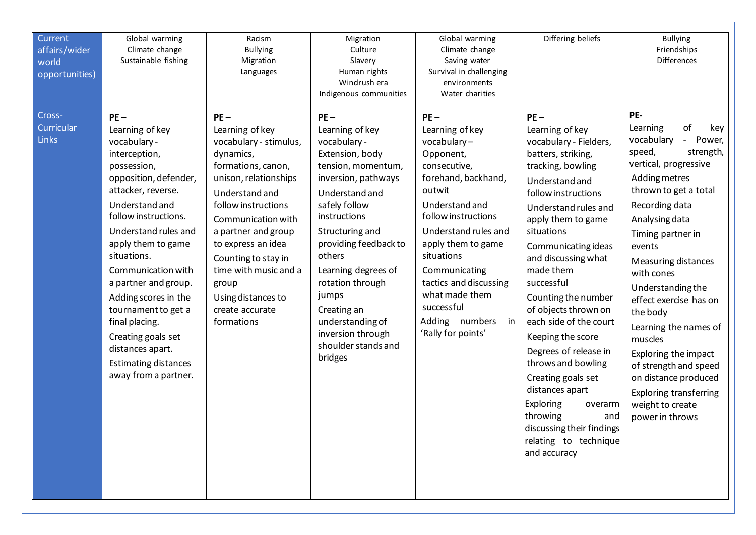| Current<br>affairs/wider<br>world<br>opportunities) | Global warming<br>Climate change<br>Sustainable fishing                                                                                                                                                                                                                                                                                                                                                                                         | Racism<br><b>Bullying</b><br>Migration<br>Languages                                                                                                                                                                                                                                                                                         | Migration<br>Culture<br>Slavery<br>Human rights<br>Windrush era<br>Indigenous communities                                                                                                                                                                                                                                                                       | Global warming<br>Climate change<br>Saving water<br>Survival in challenging<br>environments<br>Water charities                                                                                                                                                                                                                       | Differing beliefs                                                                                                                                                                                                                                                                                                                                                                                                                                                                                                                                                                   | <b>Bullying</b><br>Friendships<br><b>Differences</b>                                                                                                                                                                                                                                                                                                                                                                                                                                                          |
|-----------------------------------------------------|-------------------------------------------------------------------------------------------------------------------------------------------------------------------------------------------------------------------------------------------------------------------------------------------------------------------------------------------------------------------------------------------------------------------------------------------------|---------------------------------------------------------------------------------------------------------------------------------------------------------------------------------------------------------------------------------------------------------------------------------------------------------------------------------------------|-----------------------------------------------------------------------------------------------------------------------------------------------------------------------------------------------------------------------------------------------------------------------------------------------------------------------------------------------------------------|--------------------------------------------------------------------------------------------------------------------------------------------------------------------------------------------------------------------------------------------------------------------------------------------------------------------------------------|-------------------------------------------------------------------------------------------------------------------------------------------------------------------------------------------------------------------------------------------------------------------------------------------------------------------------------------------------------------------------------------------------------------------------------------------------------------------------------------------------------------------------------------------------------------------------------------|---------------------------------------------------------------------------------------------------------------------------------------------------------------------------------------------------------------------------------------------------------------------------------------------------------------------------------------------------------------------------------------------------------------------------------------------------------------------------------------------------------------|
| Cross-<br>Curricular<br>Links                       | $PE -$<br>Learning of key<br>vocabulary -<br>interception,<br>possession,<br>opposition, defender,<br>attacker, reverse.<br>Understand and<br>follow instructions.<br>Understand rules and<br>apply them to game<br>situations.<br>Communication with<br>a partner and group.<br>Adding scores in the<br>tournament to get a<br>final placing.<br>Creating goals set<br>distances apart.<br><b>Estimating distances</b><br>away from a partner. | $PE -$<br>Learning of key<br>vocabulary - stimulus,<br>dynamics,<br>formations, canon,<br>unison, relationships<br>Understand and<br>follow instructions<br>Communication with<br>a partner and group<br>to express an idea<br>Counting to stay in<br>time with music and a<br>group<br>Using distances to<br>create accurate<br>formations | $PE-$<br>Learning of key<br>vocabulary -<br>Extension, body<br>tension, momentum,<br>inversion, pathways<br>Understand and<br>safely follow<br>instructions<br>Structuring and<br>providing feedback to<br>others<br>Learning degrees of<br>rotation through<br>jumps<br>Creating an<br>understanding of<br>inversion through<br>shoulder stands and<br>bridges | $PE -$<br>Learning of key<br>vocabulary-<br>Opponent,<br>consecutive,<br>forehand, backhand,<br>outwit<br>Understand and<br>follow instructions<br>Understand rules and<br>apply them to game<br>situations<br>Communicating<br>tactics and discussing<br>what made them<br>successful<br>Adding numbers<br>in<br>'Rally for points' | $PE -$<br>Learning of key<br>vocabulary - Fielders,<br>batters, striking,<br>tracking, bowling<br>Understand and<br>follow instructions<br>Understand rules and<br>apply them to game<br>situations<br>Communicating ideas<br>and discussing what<br>made them<br>successful<br>Counting the number<br>of objects thrown on<br>each side of the court<br>Keeping the score<br>Degrees of release in<br>throws and bowling<br>Creating goals set<br>distances apart<br>Exploring<br>overarm<br>throwing<br>and<br>discussing their findings<br>relating to technique<br>and accuracy | PE-<br>of<br>Learning<br>key<br>vocabulary<br>Power,<br>speed,<br>strength,<br>vertical, progressive<br>Adding metres<br>thrown to get a total<br>Recording data<br>Analysing data<br>Timing partner in<br>events<br><b>Measuring distances</b><br>with cones<br>Understanding the<br>effect exercise has on<br>the body<br>Learning the names of<br>muscles<br>Exploring the impact<br>of strength and speed<br>on distance produced<br><b>Exploring transferring</b><br>weight to create<br>power in throws |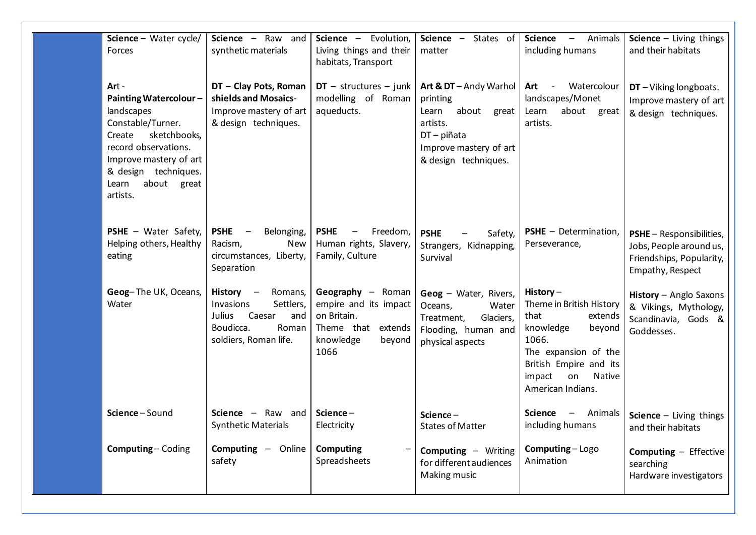| Science – Water cycle/<br>Forces                                                                                                                                                                                 | Science - Raw and<br>synthetic materials                                                                                 | Science - Evolution,<br>Living things and their<br>habitats, Transport                                         | States of<br>Science -<br>matter                                                                                                             | <b>Science</b><br>Animals<br>$\hspace{0.1mm}-\hspace{0.1mm}$<br>including humans                                                                                                            | Science $-$ Living things<br>and their habitats                                                            |
|------------------------------------------------------------------------------------------------------------------------------------------------------------------------------------------------------------------|--------------------------------------------------------------------------------------------------------------------------|----------------------------------------------------------------------------------------------------------------|----------------------------------------------------------------------------------------------------------------------------------------------|---------------------------------------------------------------------------------------------------------------------------------------------------------------------------------------------|------------------------------------------------------------------------------------------------------------|
| Art -<br><b>Painting Watercolour-</b><br>landscapes<br>Constable/Turner.<br>sketchbooks,<br>Create<br>record observations.<br>Improve mastery of art<br>& design techniques.<br>about great<br>Learn<br>artists. | DT - Clay Pots, Roman<br>shields and Mosaics-<br>Improve mastery of art<br>& design techniques.                          | $DT - structures - junk$<br>modelling of Roman<br>aqueducts.                                                   | Art & DT - Andy Warhol<br>printing<br>about<br>Learn<br>great<br>artists.<br>$DT$ – piñata<br>Improve mastery of art<br>& design techniques. | Watercolour<br>Art<br>$\overline{\phantom{a}}$<br>landscapes/Monet<br>about great<br>Learn<br>artists.                                                                                      | $DT - Viking$ longboats.<br>Improve mastery of art<br>& design techniques.                                 |
| <b>PSHE</b> - Water Safety,<br>Helping others, Healthy<br>eating                                                                                                                                                 | <b>PSHE</b><br>$\overline{\phantom{a}}$<br>Belonging,<br>Racism,<br>New<br>circumstances, Liberty,<br>Separation         | <b>PSHE</b><br>Freedom,<br>$\qquad \qquad -$<br>Human rights, Slavery,<br>Family, Culture                      | <b>PSHE</b><br>Safety,<br>Strangers, Kidnapping,<br>Survival                                                                                 | <b>PSHE</b> - Determination,<br>Perseverance,                                                                                                                                               | <b>PSHE</b> - Responsibilities,<br>Jobs, People around us,<br>Friendships, Popularity,<br>Empathy, Respect |
| Geog-The UK, Oceans,<br>Water                                                                                                                                                                                    | History -<br>Romans,<br>Invasions<br>Settlers,<br>Caesar<br>Julius<br>and<br>Boudicca.<br>Roman<br>soldiers, Roman life. | Geography - Roman<br>empire and its impact<br>on Britain.<br>Theme that extends<br>knowledge<br>beyond<br>1066 | Geog - Water, Rivers,<br>Oceans,<br>Water<br>Glaciers,<br>Treatment,<br>Flooding, human and<br>physical aspects                              | History $-$<br>Theme in British History<br>that<br>extends<br>knowledge<br>beyond<br>1066.<br>The expansion of the<br>British Empire and its<br>impact<br>Native<br>on<br>American Indians. | History - Anglo Saxons<br>& Vikings, Mythology,<br>Scandinavia, Gods &<br>Goddesses.                       |
| Science-Sound                                                                                                                                                                                                    | Science $-$<br>Raw<br>and<br><b>Synthetic Materials</b>                                                                  | Science-<br>Electricity                                                                                        | $Science -$<br><b>States of Matter</b>                                                                                                       | <b>Science</b><br>Animals<br>including humans                                                                                                                                               | Science $-$ Living things<br>and their habitats                                                            |
| <b>Computing-Coding</b>                                                                                                                                                                                          | Computing<br>- Online<br>safety                                                                                          | <b>Computing</b><br>Spreadsheets                                                                               | <b>Computing - Writing</b><br>for different audiences<br>Making music                                                                        | Computing - Logo<br>Animation                                                                                                                                                               | <b>Computing - Effective</b><br>searching<br>Hardware investigators                                        |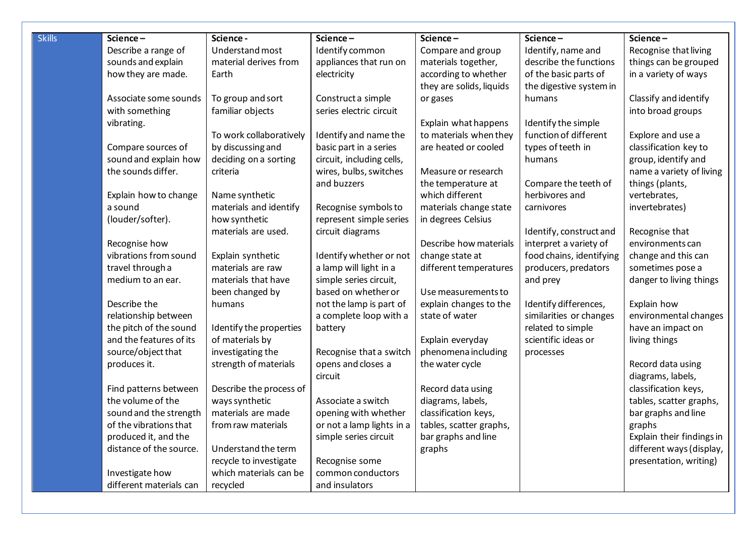| <b>Skills</b> | Science-                | Science -               | Science-                  | Science-                 | Science-                 | Science-                  |
|---------------|-------------------------|-------------------------|---------------------------|--------------------------|--------------------------|---------------------------|
|               | Describe a range of     | Understand most         | Identify common           | Compare and group        | Identify, name and       | Recognise that living     |
|               | sounds and explain      | material derives from   | appliances that run on    | materials together,      | describe the functions   | things can be grouped     |
|               | how they are made.      | Earth                   | electricity               | according to whether     | of the basic parts of    | in a variety of ways      |
|               |                         |                         |                           | they are solids, liquids | the digestive system in  |                           |
|               | Associate some sounds   | To group and sort       | Construct a simple        | or gases                 | humans                   | Classify and identify     |
|               | with something          | familiar objects        | series electric circuit   |                          |                          | into broad groups         |
|               | vibrating.              |                         |                           | Explain what happens     | Identify the simple      |                           |
|               |                         | To work collaboratively | Identify and name the     | to materials when they   | function of different    | Explore and use a         |
|               | Compare sources of      | by discussing and       | basic part in a series    | are heated or cooled     | types of teeth in        | classification key to     |
|               | sound and explain how   | deciding on a sorting   | circuit, including cells, |                          | humans                   | group, identify and       |
|               | the sounds differ.      | criteria                | wires, bulbs, switches    | Measure or research      |                          | name a variety of living  |
|               |                         |                         | and buzzers               | the temperature at       | Compare the teeth of     | things (plants,           |
|               | Explain how to change   | Name synthetic          |                           | which different          | herbivores and           | vertebrates,              |
|               | a sound                 | materials and identify  | Recognise symbols to      | materials change state   | carnivores               | invertebrates)            |
|               | (louder/softer).        | how synthetic           | represent simple series   | in degrees Celsius       |                          |                           |
|               |                         | materials are used.     | circuit diagrams          |                          | Identify, construct and  | Recognise that            |
|               | Recognise how           |                         |                           | Describe how materials   | interpret a variety of   | environments can          |
|               | vibrations from sound   | Explain synthetic       | Identify whether or not   | change state at          | food chains, identifying | change and this can       |
|               | travel through a        | materials are raw       | a lamp will light in a    | different temperatures   | producers, predators     | sometimes pose a          |
|               | medium to an ear.       | materials that have     | simple series circuit,    |                          | and prey                 | danger to living things   |
|               |                         | been changed by         | based on whether or       | Use measurements to      |                          |                           |
|               | Describe the            | humans                  | not the lamp is part of   | explain changes to the   | Identify differences,    | Explain how               |
|               | relationship between    |                         | a complete loop with a    | state of water           | similarities or changes  | environmental changes     |
|               | the pitch of the sound  | Identify the properties | battery                   |                          | related to simple        | have an impact on         |
|               | and the features of its | of materials by         |                           | Explain everyday         | scientific ideas or      | living things             |
|               | source/object that      | investigating the       | Recognise that a switch   | phenomena including      | processes                |                           |
|               | produces it.            | strength of materials   | opens and closes a        | the water cycle          |                          | Record data using         |
|               |                         |                         | circuit                   |                          |                          | diagrams, labels,         |
|               | Find patterns between   | Describe the process of |                           | Record data using        |                          | classification keys,      |
|               | the volume of the       | ways synthetic          | Associate a switch        | diagrams, labels,        |                          | tables, scatter graphs,   |
|               | sound and the strength  | materials are made      | opening with whether      | classification keys,     |                          | bar graphs and line       |
|               | of the vibrations that  | from raw materials      | or not a lamp lights in a | tables, scatter graphs,  |                          | graphs                    |
|               | produced it, and the    |                         | simple series circuit     | bar graphs and line      |                          | Explain their findings in |
|               | distance of the source. | Understand the term     |                           | graphs                   |                          | different ways (display,  |
|               |                         | recycle to investigate  | Recognise some            |                          |                          | presentation, writing)    |
|               | Investigate how         | which materials can be  | common conductors         |                          |                          |                           |
|               | different materials can | recycled                | and insulators            |                          |                          |                           |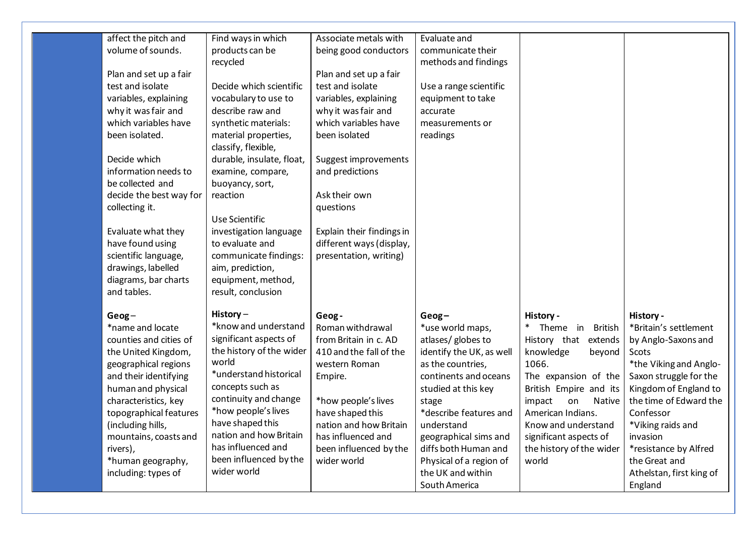| affect the pitch and                     | Find ways in which                        | Associate metals with                                 | Evaluate and             |                               |                          |
|------------------------------------------|-------------------------------------------|-------------------------------------------------------|--------------------------|-------------------------------|--------------------------|
| volume of sounds.                        | products can be                           | being good conductors                                 | communicate their        |                               |                          |
|                                          | recycled                                  |                                                       | methods and findings     |                               |                          |
| Plan and set up a fair                   |                                           | Plan and set up a fair                                |                          |                               |                          |
| test and isolate                         | Decide which scientific                   | test and isolate                                      | Use a range scientific   |                               |                          |
| variables, explaining                    | vocabulary to use to                      | variables, explaining                                 | equipment to take        |                               |                          |
| why it was fair and                      | describe raw and                          | why it was fair and                                   | accurate                 |                               |                          |
| which variables have                     | synthetic materials:                      | which variables have                                  | measurements or          |                               |                          |
| been isolated.                           | material properties,                      | been isolated                                         | readings                 |                               |                          |
|                                          | classify, flexible,                       |                                                       |                          |                               |                          |
| Decide which                             | durable, insulate, float,                 | Suggest improvements                                  |                          |                               |                          |
| information needs to                     | examine, compare,                         | and predictions                                       |                          |                               |                          |
| be collected and                         | buoyancy, sort,                           |                                                       |                          |                               |                          |
| decide the best way for                  | reaction                                  | Ask their own                                         |                          |                               |                          |
| collecting it.                           |                                           | questions                                             |                          |                               |                          |
|                                          | Use Scientific                            |                                                       |                          |                               |                          |
| Evaluate what they                       | investigation language<br>to evaluate and | Explain their findings in<br>different ways (display, |                          |                               |                          |
| have found using<br>scientific language, | communicate findings:                     | presentation, writing)                                |                          |                               |                          |
| drawings, labelled                       | aim, prediction,                          |                                                       |                          |                               |                          |
| diagrams, bar charts                     | equipment, method,                        |                                                       |                          |                               |                          |
| and tables.                              | result, conclusion                        |                                                       |                          |                               |                          |
|                                          |                                           |                                                       |                          |                               |                          |
| $Geog-$                                  | History-                                  | Geog-                                                 | $Geog-$                  | History -                     | History -                |
| *name and locate                         | *know and understand                      | Roman withdrawal                                      | *use world maps,         | Theme in British              | *Britain's settlement    |
| counties and cities of                   | significant aspects of                    | from Britain in c. AD                                 | atlases/ globes to       | History that extends          | by Anglo-Saxons and      |
| the United Kingdom,                      | the history of the wider                  | 410 and the fall of the                               | identify the UK, as well | knowledge<br>beyond           | Scots                    |
| geographical regions                     | world                                     | western Roman                                         | as the countries,        | 1066.                         | *the Viking and Anglo-   |
| and their identifying                    | *understand historical                    | Empire.                                               | continents and oceans    | The expansion of the          | Saxon struggle for the   |
| human and physical                       | concepts such as                          |                                                       | studied at this key      | British Empire and its        | Kingdom of England to    |
| characteristics, key                     | continuity and change                     | *how people's lives                                   | stage                    | impact<br>on<br><b>Native</b> | the time of Edward the   |
| topographical features                   | *how people's lives                       | have shaped this                                      | *describe features and   | American Indians.             | Confessor                |
| (including hills,                        | have shaped this                          | nation and how Britain                                | understand               | Know and understand           | *Viking raids and        |
| mountains, coasts and                    | nation and how Britain                    | has influenced and                                    | geographical sims and    | significant aspects of        | invasion                 |
| rivers),                                 | has influenced and                        | been influenced by the                                | diffs both Human and     | the history of the wider      | *resistance by Alfred    |
| *human geography,                        | been influenced by the                    | wider world                                           | Physical of a region of  | world                         | the Great and            |
| including: types of                      | wider world                               |                                                       | the UK and within        |                               | Athelstan, first king of |
|                                          |                                           |                                                       | South America            |                               | England                  |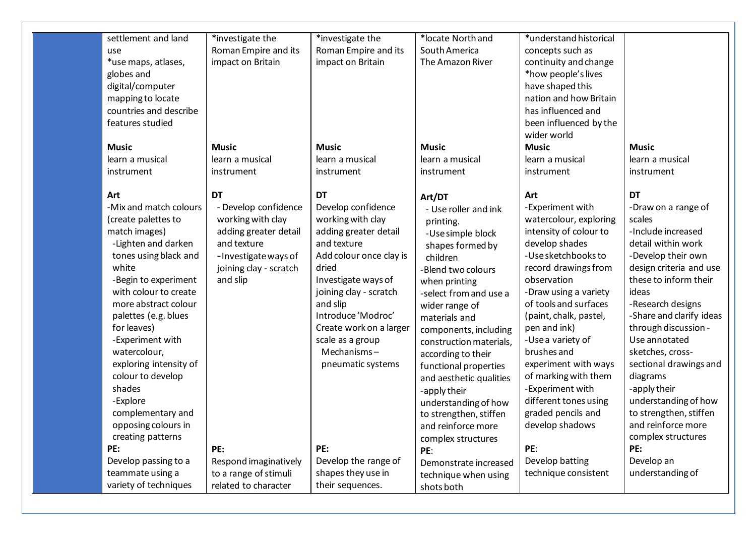|                 | settlement and land                           | *investigate the       | *investigate the               | *locate North and                             | *understand historical                         |                                                  |
|-----------------|-----------------------------------------------|------------------------|--------------------------------|-----------------------------------------------|------------------------------------------------|--------------------------------------------------|
| use             |                                               | Roman Empire and its   | Roman Empire and its           | South America                                 | concepts such as                               |                                                  |
|                 | *use maps, atlases,                           | impact on Britain      | impact on Britain              | The Amazon River                              | continuity and change                          |                                                  |
| globes and      |                                               |                        |                                |                                               | *how people's lives                            |                                                  |
|                 | digital/computer                              |                        |                                |                                               | have shaped this                               |                                                  |
|                 | mapping to locate                             |                        |                                |                                               | nation and how Britain                         |                                                  |
|                 | countries and describe                        |                        |                                |                                               | has influenced and                             |                                                  |
|                 | features studied                              |                        |                                |                                               | been influenced by the                         |                                                  |
|                 |                                               |                        |                                |                                               | wider world                                    |                                                  |
| Music           |                                               | <b>Music</b>           | <b>Music</b>                   | <b>Music</b>                                  | <b>Music</b>                                   | <b>Music</b>                                     |
| learn a musical |                                               | learn a musical        | learn a musical                | learn a musical                               | learn a musical                                | learn a musical                                  |
| instrument      |                                               | instrument             | instrument                     | instrument                                    | instrument                                     | instrument                                       |
|                 |                                               |                        |                                |                                               |                                                |                                                  |
| Art             |                                               | <b>DT</b>              | <b>DT</b>                      | Art/DT                                        | Art                                            | <b>DT</b>                                        |
|                 | -Mix and match colours                        | - Develop confidence   | Develop confidence             | - Use roller and ink                          | -Experiment with                               | -Draw on a range of                              |
|                 | (create palettes to                           | working with clay      | working with clay              | printing.                                     | watercolour, exploring                         | scales                                           |
| match images)   |                                               | adding greater detail  | adding greater detail          | -Use simple block                             | intensity of colour to                         | -Include increased                               |
|                 | -Lighten and darken                           | and texture            | and texture                    | shapes formed by                              | develop shades                                 | detail within work                               |
|                 | tones using black and                         | - Investigate ways of  | Add colour once clay is        | children                                      | -Use sketchbooks to                            | -Develop their own                               |
| white           |                                               | joining clay - scratch | dried                          | -Blend two colours                            | record drawings from                           | design criteria and use<br>these to inform their |
|                 | -Begin to experiment<br>with colour to create | and slip               | Investigate ways of            | when printing                                 | observation                                    |                                                  |
|                 | more abstract colour                          |                        | joining clay - scratch         | -select from and use a                        | -Draw using a variety<br>of tools and surfaces | ideas                                            |
|                 | palettes (e.g. blues                          |                        | and slip<br>Introduce 'Modroc' | wider range of                                | (paint, chalk, pastel,                         | -Research designs<br>-Share and clarify ideas    |
| for leaves)     |                                               |                        | Create work on a larger        | materials and                                 | pen and ink)                                   | through discussion -                             |
|                 | -Experiment with                              |                        | scale as a group               | components, including                         | -Use a variety of                              | Use annotated                                    |
| watercolour,    |                                               |                        | Mechanisms-                    | construction materials,<br>according to their | brushes and                                    | sketches, cross-                                 |
|                 | exploring intensity of                        |                        | pneumatic systems              | functional properties                         | experiment with ways                           | sectional drawings and                           |
|                 | colour to develop                             |                        |                                | and aesthetic qualities                       | of marking with them                           | diagrams                                         |
| shades          |                                               |                        |                                | -apply their                                  | -Experiment with                               | -apply their                                     |
| -Explore        |                                               |                        |                                | understanding of how                          | different tones using                          | understanding of how                             |
|                 | complementary and                             |                        |                                | to strengthen, stiffen                        | graded pencils and                             | to strengthen, stiffen                           |
|                 | opposing colours in                           |                        |                                | and reinforce more                            | develop shadows                                | and reinforce more                               |
|                 | creating patterns                             |                        |                                | complex structures                            |                                                | complex structures                               |
| PE:             |                                               | PE:                    | PE:                            | PE:                                           | PE:                                            | PE:                                              |
|                 | Develop passing to a                          | Respond imaginatively  | Develop the range of           | Demonstrate increased                         | Develop batting                                | Develop an                                       |
|                 | teammate using a                              | to a range of stimuli  | shapes they use in             | technique when using                          | technique consistent                           | understanding of                                 |
|                 | variety of techniques                         | related to character   | their sequences.               | shots both                                    |                                                |                                                  |